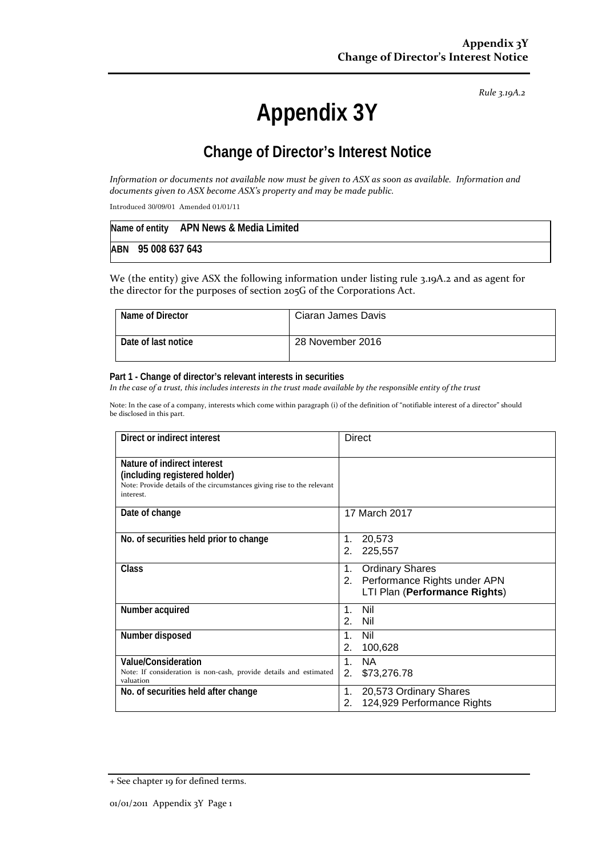*Rule 3.19A.2*

# **Appendix 3Y**

# **Change of Director's Interest Notice**

*Information or documents not available now must be given to ASX as soon as available. Information and documents given to ASX become ASX's property and may be made public.*

Introduced 30/09/01 Amended 01/01/11

|                    | Name of entity APN News & Media Limited |
|--------------------|-----------------------------------------|
| ABN 95 008 637 643 |                                         |

We (the entity) give ASX the following information under listing rule 3.19A.2 and as agent for the director for the purposes of section 205G of the Corporations Act.

| Name of Director    | Ciaran James Davis |
|---------------------|--------------------|
| Date of last notice | 28 November 2016   |

#### **Part 1 - Change of director's relevant interests in securities**

*In the case of a trust, this includes interests in the trust made available by the responsible entity of the trust*

Note: In the case of a company, interests which come within paragraph (i) of the definition of "notifiable interest of a director" should be disclosed in this part.

| Direct or indirect interest                                                                                                                         | <b>Direct</b>                                                                                    |  |
|-----------------------------------------------------------------------------------------------------------------------------------------------------|--------------------------------------------------------------------------------------------------|--|
| Nature of indirect interest<br>(including registered holder)<br>Note: Provide details of the circumstances giving rise to the relevant<br>interest. |                                                                                                  |  |
| Date of change                                                                                                                                      | 17 March 2017                                                                                    |  |
| No. of securities held prior to change                                                                                                              | 20,573<br>1.<br>225,557<br>2.                                                                    |  |
| Class                                                                                                                                               | <b>Ordinary Shares</b><br>1.<br>2. Performance Rights under APN<br>LTI Plan (Performance Rights) |  |
| Number acquired                                                                                                                                     | Nil<br>$1_{-}$<br>2.<br>Nil                                                                      |  |
| Number disposed                                                                                                                                     | Nil<br>1.<br>2.<br>100,628                                                                       |  |
| <b>Value/Consideration</b><br>Note: If consideration is non-cash, provide details and estimated<br>valuation                                        | <b>NA</b><br>$1_{-}$<br>2.<br>\$73,276.78                                                        |  |
| No. of securities held after change                                                                                                                 | 20,573 Ordinary Shares<br>1.<br>124,929 Performance Rights<br>2.                                 |  |

<sup>+</sup> See chapter 19 for defined terms.